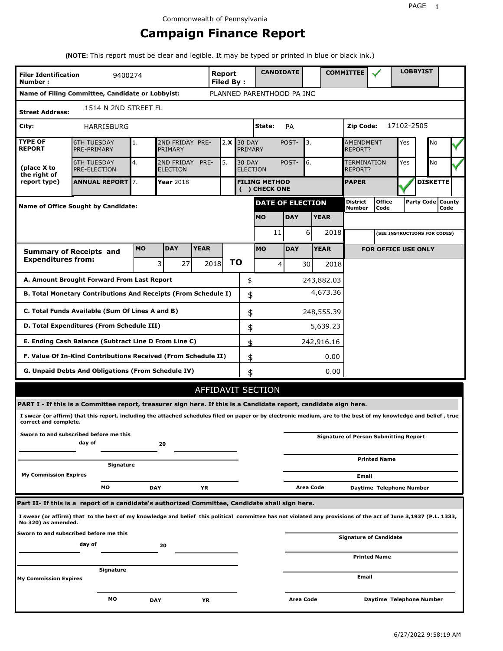# **Campaign Finance Report**

**(NOTE:** This report must be clear and legible. It may be typed or printed in blue or black ink.)

| <b>Filer Identification</b><br>Number: | 9400274                                                                                                                                                         |           |                               |             | Report<br><b>Filed By:</b> |               |                                                 |              | <b>CANDIDATE</b>        |                                                 |                 | <b>COMMITTEE</b>              |                                              |            | <b>LOBBYIST</b>              |      |  |
|----------------------------------------|-----------------------------------------------------------------------------------------------------------------------------------------------------------------|-----------|-------------------------------|-------------|----------------------------|---------------|-------------------------------------------------|--------------|-------------------------|-------------------------------------------------|-----------------|-------------------------------|----------------------------------------------|------------|------------------------------|------|--|
|                                        | Name of Filing Committee, Candidate or Lobbyist:                                                                                                                |           |                               |             | PLANNED PARENTHOOD PA INC  |               |                                                 |              |                         |                                                 |                 |                               |                                              |            |                              |      |  |
| <b>Street Address:</b>                 | 1514 N 2ND STREET FL                                                                                                                                            |           |                               |             |                            |               |                                                 |              |                         |                                                 |                 |                               |                                              |            |                              |      |  |
| City:                                  | <b>HARRISBURG</b>                                                                                                                                               |           |                               |             |                            |               | State:                                          |              | PA                      |                                                 |                 | Zip Code:                     |                                              | 17102-2505 |                              |      |  |
| <b>TYPE OF</b><br><b>REPORT</b>        | <b>6TH TUESDAY</b><br>PRE-PRIMARY                                                                                                                               | 1.        | 2ND FRIDAY PRE-<br>PRIMARY    |             | 2.X                        | <b>30 DAY</b> | PRIMARY                                         |              | POST-                   | 3.<br><b>AMENDMENT</b><br>Yes<br><b>REPORT?</b> |                 |                               |                                              |            | No                           |      |  |
| (place X to<br>the right of            | <b>6TH TUESDAY</b><br>PRE-ELECTION                                                                                                                              | 4.        | 2ND FRIDAY<br><b>ELECTION</b> | PRE-        | 5.                         |               | 6.<br><b>30 DAY</b><br>POST-<br><b>ELECTION</b> |              |                         |                                                 |                 | <b>TERMINATION</b><br>REPORT? |                                              | Yes        | No                           |      |  |
| report type)                           | <b>ANNUAL REPORT</b> 7.<br>Year 2018<br><b>FILING METHOD</b><br>( ) CHECK ONE                                                                                   |           |                               |             |                            |               |                                                 | <b>PAPER</b> |                         |                                                 | <b>DISKETTE</b> |                               |                                              |            |                              |      |  |
|                                        | <b>Name of Office Sought by Candidate:</b>                                                                                                                      |           |                               |             |                            |               |                                                 |              | <b>DATE OF ELECTION</b> |                                                 |                 | <b>District</b><br>Number     | <b>Office</b><br>Code                        |            | Party Code   County          | Code |  |
|                                        |                                                                                                                                                                 |           |                               |             |                            |               | <b>MO</b>                                       |              | <b>DAY</b>              |                                                 | <b>YEAR</b>     |                               |                                              |            |                              |      |  |
|                                        |                                                                                                                                                                 |           |                               |             |                            |               |                                                 | 11           |                         | 6                                               | 2018            |                               |                                              |            | (SEE INSTRUCTIONS FOR CODES) |      |  |
|                                        | <b>Summary of Receipts and</b>                                                                                                                                  | <b>MO</b> | <b>DAY</b>                    | <b>YEAR</b> |                            |               | <b>MO</b>                                       |              | <b>DAY</b>              |                                                 | <b>YEAR</b>     |                               | <b>FOR OFFICE USE ONLY</b>                   |            |                              |      |  |
| <b>Expenditures from:</b>              |                                                                                                                                                                 |           | 3<br>27                       |             | 2018                       | ΤO            |                                                 | 4            |                         | 30                                              | 2018            |                               |                                              |            |                              |      |  |
|                                        | A. Amount Brought Forward From Last Report                                                                                                                      |           |                               |             |                            |               | \$                                              |              |                         |                                                 | 243,882.03      |                               |                                              |            |                              |      |  |
|                                        | B. Total Monetary Contributions And Receipts (From Schedule I)                                                                                                  |           |                               |             |                            |               | \$                                              |              |                         |                                                 | 4,673.36        |                               |                                              |            |                              |      |  |
|                                        | C. Total Funds Available (Sum Of Lines A and B)                                                                                                                 |           |                               |             |                            |               | \$                                              |              |                         |                                                 | 248,555.39      |                               |                                              |            |                              |      |  |
|                                        | D. Total Expenditures (From Schedule III)                                                                                                                       |           |                               |             |                            |               | \$                                              |              |                         |                                                 | 5,639.23        |                               |                                              |            |                              |      |  |
|                                        | E. Ending Cash Balance (Subtract Line D From Line C)                                                                                                            |           |                               |             |                            |               | \$                                              |              |                         |                                                 | 242,916.16      |                               |                                              |            |                              |      |  |
|                                        | F. Value Of In-Kind Contributions Received (From Schedule II)                                                                                                   |           |                               |             |                            |               | \$                                              |              |                         |                                                 | 0.00            |                               |                                              |            |                              |      |  |
|                                        | G. Unpaid Debts And Obligations (From Schedule IV)                                                                                                              |           |                               |             |                            |               | \$                                              |              |                         |                                                 | 0.00            |                               |                                              |            |                              |      |  |
|                                        |                                                                                                                                                                 |           |                               |             | AFFIDAVIT SECTION          |               |                                                 |              |                         |                                                 |                 |                               |                                              |            |                              |      |  |
|                                        | PART I - If this is a Committee report, treasurer sign here. If this is a Candidate report, candidate sign here.                                                |           |                               |             |                            |               |                                                 |              |                         |                                                 |                 |                               |                                              |            |                              |      |  |
| correct and complete.                  | I swear (or affirm) that this report, including the attached schedules filed on paper or by electronic medium, are to the best of my knowledge and belief, true |           |                               |             |                            |               |                                                 |              |                         |                                                 |                 |                               |                                              |            |                              |      |  |
|                                        | Sworn to and subscribed before me this<br>day of                                                                                                                |           | 20                            |             |                            |               |                                                 |              |                         |                                                 |                 |                               | <b>Signature of Person Submitting Report</b> |            |                              |      |  |
|                                        | Signature                                                                                                                                                       |           |                               |             |                            |               |                                                 |              |                         |                                                 |                 |                               | <b>Printed Name</b>                          |            |                              |      |  |
| <b>My Commission Expires</b>           |                                                                                                                                                                 |           |                               |             |                            |               |                                                 |              |                         |                                                 |                 | Email                         |                                              |            |                              |      |  |
|                                        | МO                                                                                                                                                              |           | <b>DAY</b>                    | YR          |                            |               |                                                 |              |                         | Area Code                                       |                 |                               | Daytime Telephone Number                     |            |                              |      |  |
|                                        | Part II- If this is a report of a candidate's authorized Committee, Candidate shall sign here.                                                                  |           |                               |             |                            |               |                                                 |              |                         |                                                 |                 |                               |                                              |            |                              |      |  |
| No 320) as amended.                    | I swear (or affirm) that to the best of my knowledge and belief this political committee has not violated any provisions of the act of June 3,1937 (P.L. 1333,  |           |                               |             |                            |               |                                                 |              |                         |                                                 |                 |                               |                                              |            |                              |      |  |
|                                        | Sworn to and subscribed before me this                                                                                                                          |           |                               |             |                            |               |                                                 |              |                         |                                                 |                 |                               | Signature of Candidate                       |            |                              |      |  |
|                                        | day of                                                                                                                                                          |           | 20                            |             |                            |               |                                                 |              |                         |                                                 |                 |                               | <b>Printed Name</b>                          |            |                              |      |  |
|                                        | Signature                                                                                                                                                       |           |                               |             |                            |               |                                                 |              |                         |                                                 |                 |                               |                                              |            |                              |      |  |
| <b>My Commission Expires</b>           |                                                                                                                                                                 |           |                               |             |                            |               |                                                 |              |                         |                                                 |                 | Email                         |                                              |            |                              |      |  |
|                                        | МO                                                                                                                                                              |           | <b>DAY</b>                    | ΥR          |                            |               |                                                 |              | Area Code               |                                                 |                 |                               | Daytime Telephone Number                     |            |                              |      |  |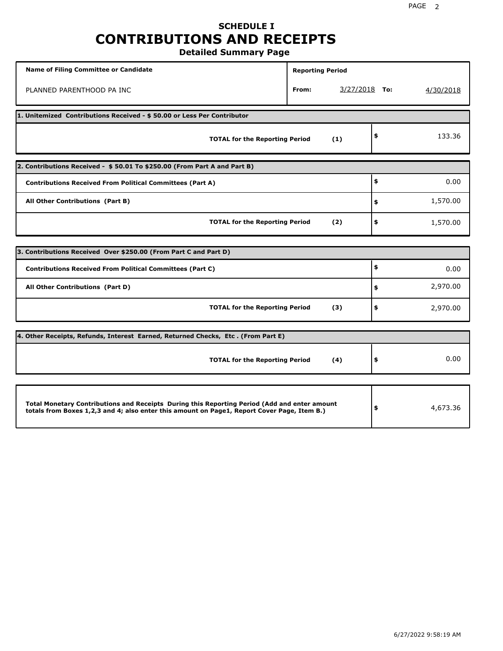# **SCHEDULE I CONTRIBUTIONS AND RECEIPTS**

**Detailed Summary Page**

| <b>Name of Filing Committee or Candidate</b>                                                                                                                                                | <b>Reporting Period</b> |                 |           |
|---------------------------------------------------------------------------------------------------------------------------------------------------------------------------------------------|-------------------------|-----------------|-----------|
| PLANNED PARENTHOOD PA INC                                                                                                                                                                   | From:                   | $3/27/2018$ To: | 4/30/2018 |
| 1. Unitemized Contributions Received - \$50.00 or Less Per Contributor                                                                                                                      |                         |                 |           |
| <b>TOTAL for the Reporting Period</b>                                                                                                                                                       | (1)                     | \$              | 133.36    |
| 2. Contributions Received - \$50.01 To \$250.00 (From Part A and Part B)                                                                                                                    |                         |                 |           |
| <b>Contributions Received From Political Committees (Part A)</b>                                                                                                                            |                         | \$              | 0.00      |
| All Other Contributions (Part B)                                                                                                                                                            |                         | \$              | 1,570.00  |
| <b>TOTAL for the Reporting Period</b>                                                                                                                                                       | (2)                     | \$              | 1,570.00  |
| 3. Contributions Received Over \$250.00 (From Part C and Part D)                                                                                                                            |                         |                 |           |
| <b>Contributions Received From Political Committees (Part C)</b>                                                                                                                            |                         | \$              |           |
|                                                                                                                                                                                             |                         |                 | 0.00      |
| All Other Contributions (Part D)                                                                                                                                                            |                         | \$              | 2,970.00  |
| <b>TOTAL for the Reporting Period</b>                                                                                                                                                       | (3)                     | \$              | 2,970.00  |
| 4. Other Receipts, Refunds, Interest Earned, Returned Checks, Etc. (From Part E)                                                                                                            |                         |                 |           |
| <b>TOTAL for the Reporting Period</b>                                                                                                                                                       | (4)                     | \$              | 0.00      |
|                                                                                                                                                                                             |                         |                 |           |
| Total Monetary Contributions and Receipts During this Reporting Period (Add and enter amount<br>totals from Boxes 1,2,3 and 4; also enter this amount on Page1, Report Cover Page, Item B.) |                         | \$              | 4,673.36  |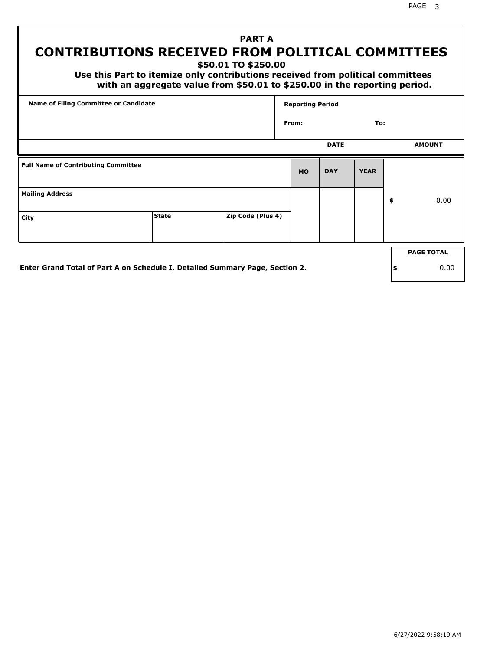# **PART A CONTRIBUTIONS RECEIVED FROM POLITICAL COMMITTEES**

**\$50.01 TO \$250.00**

 **Use this Part to itemize only contributions received from political committees with an aggregate value from \$50.01 to \$250.00 in the reporting period.**

| Name of Filing Committee or Candidate      |                                                                              |                   | <b>Reporting Period</b> |             |             |     |                   |  |  |
|--------------------------------------------|------------------------------------------------------------------------------|-------------------|-------------------------|-------------|-------------|-----|-------------------|--|--|
|                                            |                                                                              |                   | From:                   |             | To:         |     |                   |  |  |
|                                            |                                                                              |                   |                         | <b>DATE</b> |             |     | <b>AMOUNT</b>     |  |  |
| <b>Full Name of Contributing Committee</b> |                                                                              |                   | <b>MO</b>               | <b>DAY</b>  | <b>YEAR</b> |     |                   |  |  |
| <b>Mailing Address</b>                     |                                                                              |                   |                         |             |             | \$  | 0.00              |  |  |
| City                                       | <b>State</b>                                                                 | Zip Code (Plus 4) |                         |             |             |     |                   |  |  |
|                                            |                                                                              |                   |                         |             |             |     | <b>PAGE TOTAL</b> |  |  |
|                                            |                                                                              |                   |                         |             |             |     |                   |  |  |
|                                            | Enter Grand Total of Part A on Schedule I, Detailed Summary Page, Section 2. |                   |                         |             |             | ∣\$ | 0.00              |  |  |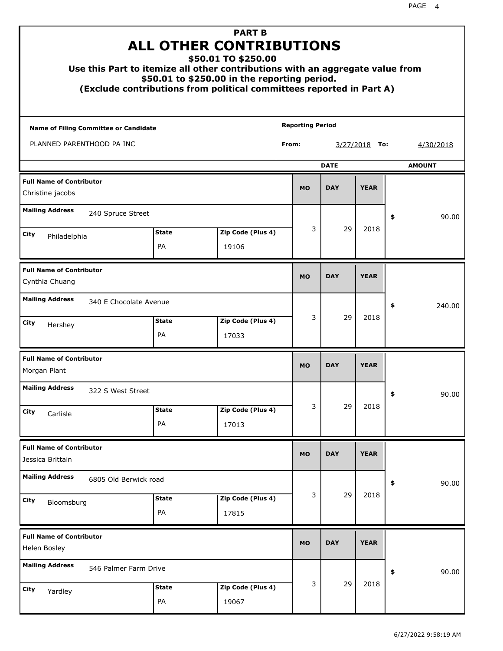| Use this Part to itemize all other contributions with an aggregate value from<br>(Exclude contributions from political committees reported in Part A) |                    | <b>PART B</b><br><b>ALL OTHER CONTRIBUTIONS</b><br>\$50.01 TO \$250.00<br>\$50.01 to \$250.00 in the reporting period. |                         |             |    |                  |    |               |
|-------------------------------------------------------------------------------------------------------------------------------------------------------|--------------------|------------------------------------------------------------------------------------------------------------------------|-------------------------|-------------|----|------------------|----|---------------|
| Name of Filing Committee or Candidate                                                                                                                 |                    |                                                                                                                        | <b>Reporting Period</b> |             |    |                  |    |               |
| PLANNED PARENTHOOD PA INC                                                                                                                             |                    |                                                                                                                        | From:                   |             |    | 3/27/2018<br>To: |    | 4/30/2018     |
|                                                                                                                                                       |                    |                                                                                                                        |                         | <b>DATE</b> |    |                  |    | <b>AMOUNT</b> |
| <b>Full Name of Contributor</b><br>Christine jacobs                                                                                                   |                    |                                                                                                                        |                         |             |    |                  |    |               |
| <b>Mailing Address</b><br>240 Spruce Street                                                                                                           |                    |                                                                                                                        |                         |             |    |                  | \$ | 90.00         |
| City                                                                                                                                                  | <b>State</b>       | Zip Code (Plus 4)                                                                                                      |                         | 3           | 29 | 2018             |    |               |
| Philadelphia                                                                                                                                          | PA                 | 19106                                                                                                                  |                         |             |    |                  |    |               |
| <b>Full Name of Contributor</b><br>Cynthia Chuang                                                                                                     |                    |                                                                                                                        |                         |             |    |                  |    |               |
| <b>Mailing Address</b><br>340 E Chocolate Avenue                                                                                                      |                    |                                                                                                                        |                         |             |    |                  | \$ | 240.00        |
| City<br>Hershey                                                                                                                                       | <b>State</b><br>PA | Zip Code (Plus 4)<br>17033                                                                                             |                         | 3           | 29 | 2018             |    |               |
| <b>Full Name of Contributor</b><br>Morgan Plant                                                                                                       |                    |                                                                                                                        | <b>MO</b>               | <b>DAY</b>  |    | <b>YEAR</b>      |    |               |
| <b>Mailing Address</b><br>322 S West Street                                                                                                           |                    |                                                                                                                        |                         |             |    |                  | ÷, | 90.00         |
| City<br>Carlisle                                                                                                                                      | <b>State</b>       | Zip Code (Plus 4)                                                                                                      |                         | 3           | 29 | 2018             |    |               |
|                                                                                                                                                       | PA                 | 17013                                                                                                                  |                         |             |    |                  |    |               |
| <b>Full Name of Contributor</b><br>Jessica Brittain                                                                                                   |                    |                                                                                                                        | <b>MO</b>               | <b>DAY</b>  |    | <b>YEAR</b>      |    |               |
| <b>Mailing Address</b><br>6805 Old Berwick road                                                                                                       |                    |                                                                                                                        |                         |             |    |                  | \$ | 90.00         |
| City<br>Bloomsburg                                                                                                                                    | <b>State</b><br>PA | Zip Code (Plus 4)<br>17815                                                                                             |                         | 3           | 29 | 2018             |    |               |
| <b>Full Name of Contributor</b><br>Helen Bosley                                                                                                       |                    |                                                                                                                        | <b>MO</b>               | <b>DAY</b>  |    | <b>YEAR</b>      |    |               |
| <b>Mailing Address</b><br>546 Palmer Farm Drive                                                                                                       |                    |                                                                                                                        |                         |             |    |                  | \$ | 90.00         |
| City<br>Yardley                                                                                                                                       | <b>State</b><br>PA | Zip Code (Plus 4)<br>19067                                                                                             |                         | 3           | 29 | 2018             |    |               |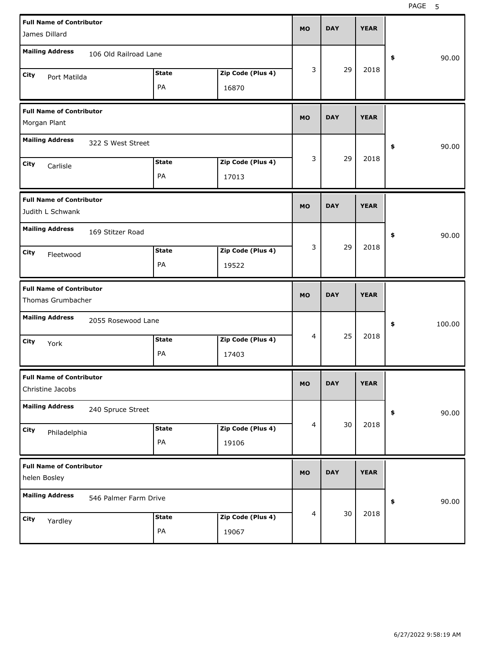PAGE 5

| James Dillard                                       | <b>Full Name of Contributor</b> |                    |                            |           |            | <b>YEAR</b> |              |
|-----------------------------------------------------|---------------------------------|--------------------|----------------------------|-----------|------------|-------------|--------------|
| <b>Mailing Address</b>                              | 106 Old Railroad Lane           |                    |                            |           |            |             | \$<br>90.00  |
| City<br>Port Matilda                                |                                 | <b>State</b><br>PA | Zip Code (Plus 4)<br>16870 | 3         | 29         | 2018        |              |
| <b>Full Name of Contributor</b><br>Morgan Plant     |                                 |                    |                            | <b>MO</b> | <b>DAY</b> | <b>YEAR</b> |              |
| <b>Mailing Address</b>                              | 322 S West Street               |                    |                            |           |            |             | \$<br>90.00  |
| City<br>Carlisle                                    |                                 | <b>State</b><br>PA | Zip Code (Plus 4)<br>17013 | 3         | 29         | 2018        |              |
| <b>Full Name of Contributor</b><br>Judith L Schwank |                                 |                    |                            | <b>MO</b> | <b>DAY</b> | <b>YEAR</b> |              |
| <b>Mailing Address</b>                              | 169 Stitzer Road                |                    |                            |           |            |             | \$<br>90.00  |
| City<br>Fleetwood                                   |                                 | <b>State</b><br>PA | Zip Code (Plus 4)<br>19522 | 3         | 29         | 2018        |              |
| <b>Full Name of Contributor</b>                     |                                 |                    |                            |           |            |             |              |
| Thomas Grumbacher                                   |                                 |                    |                            | <b>MO</b> | <b>DAY</b> | <b>YEAR</b> |              |
| <b>Mailing Address</b>                              | 2055 Rosewood Lane              |                    |                            |           |            |             | \$<br>100.00 |
| City<br>York                                        |                                 | <b>State</b><br>PA | Zip Code (Plus 4)<br>17403 | 4         | 25         | 2018        |              |
| <b>Full Name of Contributor</b><br>Christine Jacobs |                                 |                    |                            | <b>MO</b> | DAY        | YEAK        |              |
| <b>Mailing Address</b>                              | 240 Spruce Street               |                    |                            |           |            |             | 90.00<br>\$  |
| City<br>Philadelphia                                |                                 | <b>State</b><br>PA | Zip Code (Plus 4)<br>19106 | 4         | 30         | 2018        |              |
| <b>Full Name of Contributor</b><br>helen Bosley     |                                 |                    |                            | <b>MO</b> | <b>DAY</b> | <b>YEAR</b> |              |
| <b>Mailing Address</b>                              | 546 Palmer Farm Drive           |                    |                            | 4         | 30         | 2018        | 90.00<br>\$  |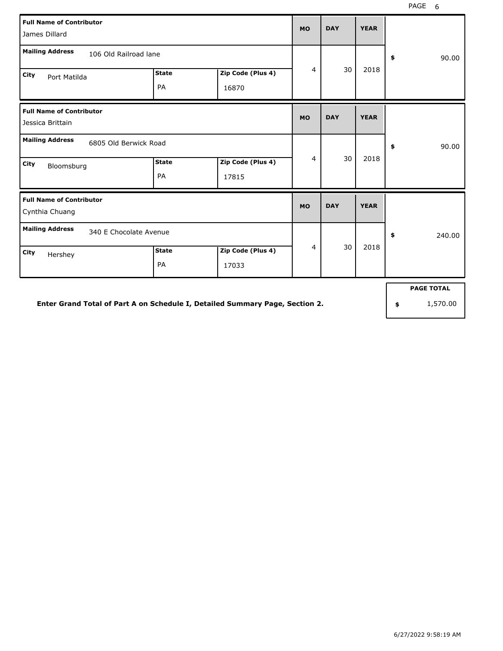| <b>Full Name of Contributor</b><br>James Dillard    |              |                   | <b>MO</b>      | <b>DAY</b> | <b>YEAR</b> |                   |
|-----------------------------------------------------|--------------|-------------------|----------------|------------|-------------|-------------------|
| <b>Mailing Address</b><br>106 Old Railroad lane     |              |                   |                |            |             | 90.00<br>\$       |
| City<br>Port Matilda                                | <b>State</b> | Zip Code (Plus 4) | 4              | 30         | 2018        |                   |
|                                                     | PA           | 16870             |                |            |             |                   |
| <b>Full Name of Contributor</b><br>Jessica Brittain |              |                   | <b>MO</b>      | <b>DAY</b> | <b>YEAR</b> |                   |
| <b>Mailing Address</b><br>6805 Old Berwick Road     |              |                   |                |            |             | \$<br>90.00       |
| City<br>Bloomsburg                                  | <b>State</b> | Zip Code (Plus 4) | $\overline{4}$ | 30         | 2018        |                   |
|                                                     | PA           | 17815             |                |            |             |                   |
| <b>Full Name of Contributor</b><br>Cynthia Chuang   |              |                   | <b>MO</b>      | <b>DAY</b> | <b>YEAR</b> |                   |
| <b>Mailing Address</b><br>340 E Chocolate Avenue    |              |                   |                |            |             | \$<br>240.00      |
| <b>City</b><br>Hershey                              | <b>State</b> | Zip Code (Plus 4) | $\overline{4}$ | 30         | 2018        |                   |
|                                                     | PA           | 17033             |                |            |             |                   |
|                                                     |              |                   |                |            |             | <b>PAGE TOTAL</b> |

**Enter Grand Total of Part A on Schedule I, Detailed Summary Page, Section 2.**

**\$** 1,570.00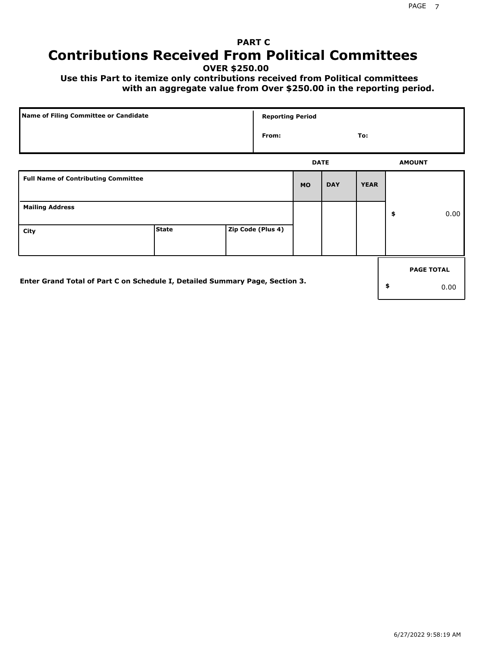# **PART C Contributions Received From Political Committees**

**OVER \$250.00**

 **Use this Part to itemize only contributions received from Political committees with an aggregate value from Over \$250.00 in the reporting period.**

| Name of Filing Committee or Candidate                                        |              | <b>Reporting Period</b> |           |             |             |                   |
|------------------------------------------------------------------------------|--------------|-------------------------|-----------|-------------|-------------|-------------------|
|                                                                              |              | From:                   |           |             | To:         |                   |
|                                                                              |              |                         |           | <b>DATE</b> |             | <b>AMOUNT</b>     |
| <b>Full Name of Contributing Committee</b>                                   |              |                         | <b>MO</b> | <b>DAY</b>  | <b>YEAR</b> |                   |
| <b>Mailing Address</b>                                                       |              |                         |           |             |             | \$<br>0.00        |
| City                                                                         | <b>State</b> | Zip Code (Plus 4)       |           |             |             |                   |
|                                                                              |              |                         |           |             |             | <b>PAGE TOTAL</b> |
| Enter Grand Total of Part C on Schedule I, Detailed Summary Page, Section 3. |              |                         |           |             |             | \$<br>0.00        |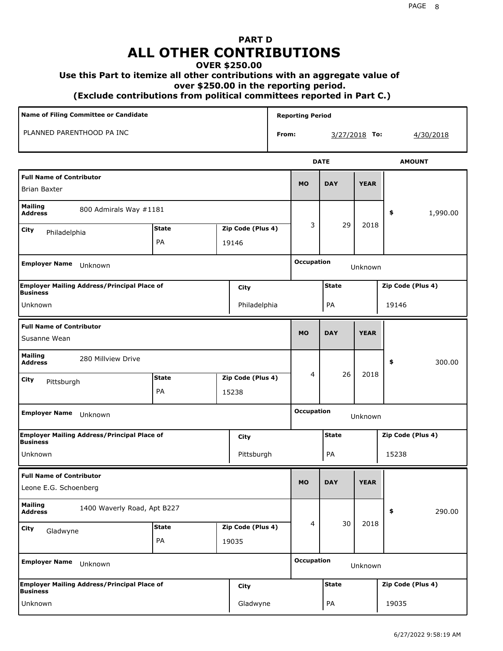# **PART D ALL OTHER CONTRIBUTIONS**

#### **OVER \$250.00**

#### **Use this Part to itemize all other contributions with an aggregate value of**

 **over \$250.00 in the reporting period.**

 **(Exclude contributions from political committees reported in Part C.)** 

| Name of Filing Committee or Candidate                                         |              |       |                   |              | <b>Reporting Period</b>      |                   |             |                   |  |  |
|-------------------------------------------------------------------------------|--------------|-------|-------------------|--------------|------------------------------|-------------------|-------------|-------------------|--|--|
| PLANNED PARENTHOOD PA INC                                                     |              |       |                   | From:        |                              | 3/27/2018 To:     |             | 4/30/2018         |  |  |
|                                                                               |              |       |                   |              |                              | <b>DATE</b>       |             | <b>AMOUNT</b>     |  |  |
| <b>Full Name of Contributor</b><br><b>Brian Baxter</b>                        |              |       |                   |              | <b>MO</b>                    | <b>DAY</b>        | <b>YEAR</b> |                   |  |  |
| <b>Mailing</b><br>800 Admirals Way #1181<br><b>Address</b>                    |              |       |                   |              |                              |                   |             | \$<br>1,990.00    |  |  |
| City<br>Philadelphia                                                          | <b>State</b> |       | Zip Code (Plus 4) |              | 3                            | 29                | 2018        |                   |  |  |
|                                                                               | PA<br>19146  |       |                   |              |                              |                   |             |                   |  |  |
| <b>Employer Name</b><br>Unknown                                               |              |       | <b>Occupation</b> |              | Unknown                      |                   |             |                   |  |  |
| <b>Employer Mailing Address/Principal Place of</b><br>City<br><b>Business</b> |              |       |                   | <b>State</b> |                              | Zip Code (Plus 4) |             |                   |  |  |
| Unknown                                                                       | Philadelphia |       |                   |              |                              | PA                |             | 19146             |  |  |
| <b>Full Name of Contributor</b><br>Susanne Wean                               |              |       | <b>MO</b>         | <b>DAY</b>   | <b>YEAR</b>                  |                   |             |                   |  |  |
| <b>Mailing</b><br>280 Millview Drive<br><b>Address</b>                        |              |       |                   |              |                              |                   |             | \$<br>300.00      |  |  |
| City<br>Pittsburgh                                                            | <b>State</b> |       | Zip Code (Plus 4) |              | 4                            | 26                | 2018        |                   |  |  |
|                                                                               | PA           | 15238 |                   |              |                              |                   |             |                   |  |  |
| <b>Employer Name</b><br>Unknown                                               |              |       |                   |              | <b>Occupation</b><br>Unknown |                   |             |                   |  |  |
| <b>Employer Mailing Address/Principal Place of</b><br><b>Business</b>         |              |       | City              |              | <b>State</b>                 |                   |             | Zip Code (Plus 4) |  |  |
| Unknown                                                                       |              |       | Pittsburgh        |              |                              | PA                |             | 15238             |  |  |
| <b>Full Name of Contributor</b>                                               |              |       |                   |              | <b>MO</b>                    | <b>DAY</b>        | <b>YEAR</b> |                   |  |  |
| Leone E.G. Schoenberg                                                         |              |       |                   |              |                              |                   |             |                   |  |  |
| <b>Mailing</b><br>1400 Waverly Road, Apt B227<br><b>Address</b>               |              |       |                   |              |                              |                   |             | \$<br>290.00      |  |  |
| City<br>Gladwyne                                                              | <b>State</b> |       | Zip Code (Plus 4) |              | 4                            | 30                | 2018        |                   |  |  |
|                                                                               | PA           | 19035 |                   |              |                              |                   |             |                   |  |  |
| <b>Employer Name</b><br>Unknown                                               |              |       | <b>Occupation</b> |              | Unknown                      |                   |             |                   |  |  |
| <b>Employer Mailing Address/Principal Place of</b><br><b>Business</b>         |              |       | <b>City</b>       |              |                              | <b>State</b>      |             | Zip Code (Plus 4) |  |  |
| Unknown                                                                       |              |       | Gladwyne          |              |                              | PA                |             | 19035             |  |  |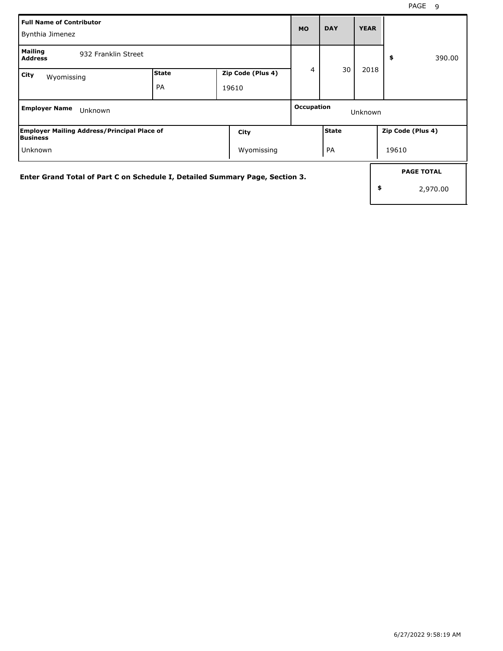| <b>Full Name of Contributor</b><br>Bynthia Jimenez                           |                    |  |                            | <b>MO</b> | <b>DAY</b>   | <b>YEAR</b> |                                     |
|------------------------------------------------------------------------------|--------------------|--|----------------------------|-----------|--------------|-------------|-------------------------------------|
| <b>Mailing</b><br>932 Franklin Street<br><b>Address</b>                      |                    |  |                            |           |              |             | 390.00<br>\$                        |
| City<br>Wyomissing                                                           | <b>State</b><br>PA |  | Zip Code (Plus 4)<br>19610 | 4         | 30           | 2018        |                                     |
| <b>Employer Name</b><br>Unknown                                              |                    |  | Occupation<br>Unknown      |           |              |             |                                     |
| <b>Employer Mailing Address/Principal Place of</b><br>Business               |                    |  | City                       |           | <b>State</b> |             | Zip Code (Plus 4)                   |
| Unknown                                                                      |                    |  | Wyomissing                 |           | PA           |             | 19610                               |
| Enter Grand Total of Part C on Schedule I, Detailed Summary Page, Section 3. |                    |  |                            |           |              |             | <b>PAGE TOTAL</b><br>\$<br>2,970.00 |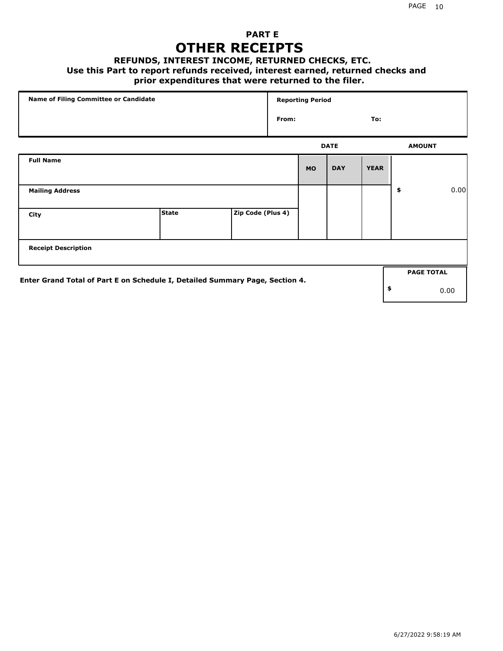## **PART E OTHER RECEIPTS**

#### **REFUNDS, INTEREST INCOME, RETURNED CHECKS, ETC.**

#### **Use this Part to report refunds received, interest earned, returned checks and**

## **prior expenditures that were returned to the filer.**

| Name of Filing Committee or Candidate                                        |              |                   |       | <b>Reporting Period</b> |             |             |                   |      |
|------------------------------------------------------------------------------|--------------|-------------------|-------|-------------------------|-------------|-------------|-------------------|------|
|                                                                              |              |                   | From: |                         |             | To:         |                   |      |
|                                                                              |              |                   |       |                         | <b>DATE</b> |             | <b>AMOUNT</b>     |      |
| <b>Full Name</b>                                                             |              |                   |       | <b>MO</b>               | <b>DAY</b>  | <b>YEAR</b> |                   |      |
| <b>Mailing Address</b>                                                       |              |                   |       |                         |             |             | \$                | 0.00 |
| City                                                                         | <b>State</b> | Zip Code (Plus 4) |       |                         |             |             |                   |      |
| <b>Receipt Description</b>                                                   |              |                   |       |                         |             |             |                   |      |
| Enter Grand Total of Part E on Schedule I, Detailed Summary Page, Section 4. |              |                   |       |                         |             |             | <b>PAGE TOTAL</b> |      |
|                                                                              |              |                   |       |                         |             |             | \$                | 0.00 |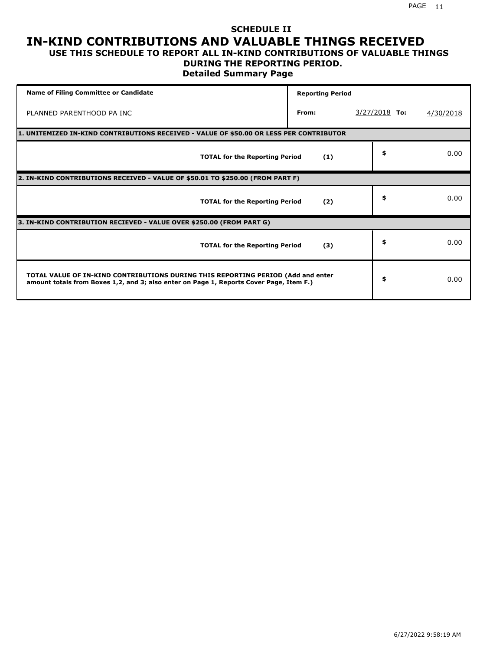### **SCHEDULE II IN-KIND CONTRIBUTIONS AND VALUABLE THINGS RECEIVED USE THIS SCHEDULE TO REPORT ALL IN-KIND CONTRIBUTIONS OF VALUABLE THINGS**

## **DURING THE REPORTING PERIOD.**

**Detailed Summary Page**

| <b>Name of Filing Committee or Candidate</b>                                                                                                                                | <b>Reporting Period</b> |                 |           |
|-----------------------------------------------------------------------------------------------------------------------------------------------------------------------------|-------------------------|-----------------|-----------|
| PLANNED PARENTHOOD PA INC                                                                                                                                                   | From:                   | $3/27/2018$ To: | 4/30/2018 |
| 1. UNITEMIZED IN-KIND CONTRIBUTIONS RECEIVED - VALUE OF \$50.00 OR LESS PER CONTRIBUTOR                                                                                     |                         |                 |           |
| <b>TOTAL for the Reporting Period</b>                                                                                                                                       | (1)                     | \$              | 0.00      |
| 2. IN-KIND CONTRIBUTIONS RECEIVED - VALUE OF \$50.01 TO \$250.00 (FROM PART F)                                                                                              |                         |                 |           |
| <b>TOTAL for the Reporting Period</b>                                                                                                                                       | (2)                     | \$              | 0.00      |
| 3. IN-KIND CONTRIBUTION RECIEVED - VALUE OVER \$250.00 (FROM PART G)                                                                                                        |                         |                 |           |
| <b>TOTAL for the Reporting Period</b>                                                                                                                                       | (3)                     | \$              | 0.00      |
| TOTAL VALUE OF IN-KIND CONTRIBUTIONS DURING THIS REPORTING PERIOD (Add and enter<br>amount totals from Boxes 1,2, and 3; also enter on Page 1, Reports Cover Page, Item F.) |                         | \$              | 0.00      |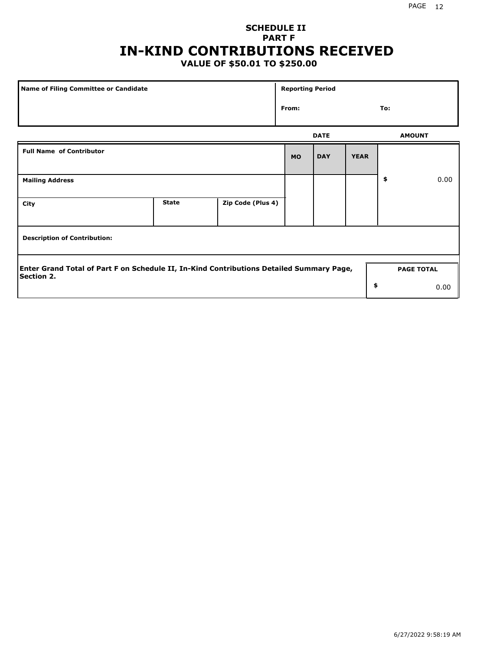## **SCHEDULE II PART F IN-KIND CONTRIBUTIONS RECEIVED**

## **VALUE OF \$50.01 TO \$250.00**

| Name of Filing Committee or Candidate                                                                  |              |                   | <b>Reporting Period</b> |             |             |               |                   |
|--------------------------------------------------------------------------------------------------------|--------------|-------------------|-------------------------|-------------|-------------|---------------|-------------------|
|                                                                                                        | From:        |                   |                         |             |             | To:           |                   |
|                                                                                                        |              |                   |                         | <b>DATE</b> |             | <b>AMOUNT</b> |                   |
| <b>Full Name of Contributor</b>                                                                        |              |                   | <b>MO</b>               | <b>DAY</b>  | <b>YEAR</b> |               |                   |
| <b>Mailing Address</b>                                                                                 |              |                   |                         |             |             | \$            | 0.00              |
| City                                                                                                   | <b>State</b> | Zip Code (Plus 4) |                         |             |             |               |                   |
| <b>Description of Contribution:</b>                                                                    |              |                   |                         |             |             |               |                   |
| Enter Grand Total of Part F on Schedule II, In-Kind Contributions Detailed Summary Page,<br>Section 2. |              |                   |                         |             |             |               | <b>PAGE TOTAL</b> |
|                                                                                                        |              |                   |                         |             | \$          |               | 0.00              |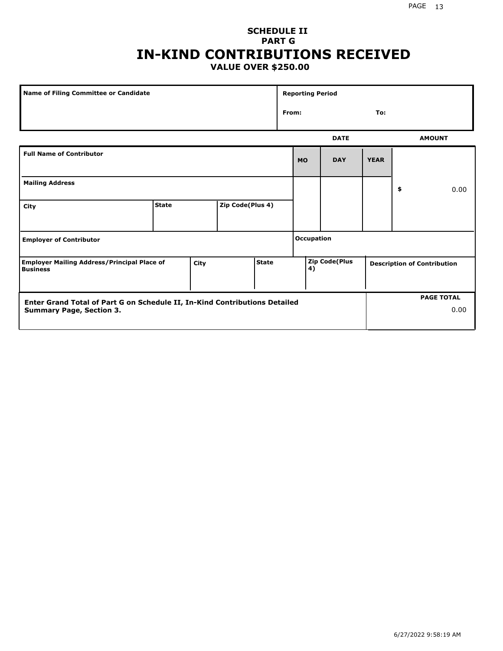### **SCHEDULE II PART G IN-KIND CONTRIBUTIONS RECEIVED VALUE OVER \$250.00**

| Name of Filing Committee or Candidate                                         |              |  |                  | <b>Reporting Period</b> |     |                                                            |             |             |    |               |
|-------------------------------------------------------------------------------|--------------|--|------------------|-------------------------|-----|------------------------------------------------------------|-------------|-------------|----|---------------|
|                                                                               |              |  |                  | From:                   | To: |                                                            |             |             |    |               |
|                                                                               |              |  |                  |                         |     |                                                            | <b>DATE</b> |             |    | <b>AMOUNT</b> |
| <b>Full Name of Contributor</b>                                               |              |  |                  |                         |     | <b>MO</b>                                                  | <b>DAY</b>  | <b>YEAR</b> |    |               |
| <b>Mailing Address</b>                                                        |              |  |                  |                         |     |                                                            |             |             | \$ | 0.00          |
| City                                                                          | <b>State</b> |  | Zip Code(Plus 4) |                         |     |                                                            |             |             |    |               |
| <b>Employer of Contributor</b>                                                |              |  |                  | <b>Occupation</b>       |     |                                                            |             |             |    |               |
| <b>Employer Mailing Address/Principal Place of</b><br>City<br><b>Business</b> |              |  | <b>State</b>     | 4)                      |     | <b>Zip Code(Plus</b><br><b>Description of Contribution</b> |             |             |    |               |

| <b>Enter Grand Total of Part G on Schedule II, In-Kind Contributions Detailed</b> |  | <b>PAGE TOTAL</b> |
|-----------------------------------------------------------------------------------|--|-------------------|
| Summary Page, Section 3.                                                          |  | 0.00              |
|                                                                                   |  |                   |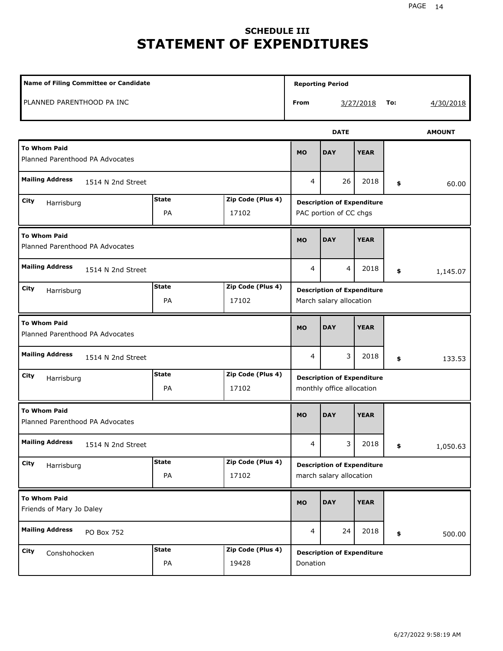# **SCHEDULE III STATEMENT OF EXPENDITURES**

| Name of Filing Committee or Candidate                  |                                                  |                            | <b>Reporting Period</b>                                      |                                               |                                                                |     |           |  |  |
|--------------------------------------------------------|--------------------------------------------------|----------------------------|--------------------------------------------------------------|-----------------------------------------------|----------------------------------------------------------------|-----|-----------|--|--|
| PLANNED PARENTHOOD PA INC                              |                                                  |                            | From                                                         |                                               | 3/27/2018                                                      | To: | 4/30/2018 |  |  |
|                                                        |                                                  | <b>AMOUNT</b>              |                                                              |                                               |                                                                |     |           |  |  |
| <b>To Whom Paid</b><br>Planned Parenthood PA Advocates |                                                  |                            |                                                              | <b>DAY</b>                                    | <b>YEAR</b>                                                    |     |           |  |  |
| <b>Mailing Address</b><br>1514 N 2nd Street            |                                                  |                            | 4                                                            | 26                                            | 2018                                                           | \$  | 60.00     |  |  |
| City<br>Harrisburg                                     | <b>State</b><br>PA                               | Zip Code (Plus 4)<br>17102 | <b>Description of Expenditure</b><br>PAC portion of CC chgs  |                                               |                                                                |     |           |  |  |
| <b>To Whom Paid</b><br>Planned Parenthood PA Advocates | <b>MO</b>                                        | <b>DAY</b>                 | <b>YEAR</b>                                                  |                                               |                                                                |     |           |  |  |
| <b>Mailing Address</b><br>1514 N 2nd Street            |                                                  |                            |                                                              | 4                                             | 2018                                                           | \$  | 1,145.07  |  |  |
| City<br>Harrisburg                                     | <b>State</b><br>PA                               | Zip Code (Plus 4)<br>17102 | <b>Description of Expenditure</b><br>March salary allocation |                                               |                                                                |     |           |  |  |
| <b>To Whom Paid</b><br>Planned Parenthood PA Advocates |                                                  |                            |                                                              | <b>DAY</b>                                    | <b>YEAR</b>                                                    |     |           |  |  |
| <b>Mailing Address</b><br>1514 N 2nd Street            |                                                  |                            | 4                                                            | 3                                             | 2018                                                           | \$  | 133.53    |  |  |
| City<br>Harrisburg                                     | Zip Code (Plus 4)<br><b>State</b><br>PA<br>17102 |                            |                                                              |                                               | <b>Description of Expenditure</b><br>monthly office allocation |     |           |  |  |
| <b>To Whom Paid</b><br>Planned Parenthood PA Advocates |                                                  |                            |                                                              | <b>DAY</b>                                    | <b>YEAR</b>                                                    |     |           |  |  |
| <b>Mailing Address</b><br>1514 N 2nd Street            |                                                  |                            |                                                              | 3                                             | 2018                                                           | \$  | 1,050.63  |  |  |
| City<br>Harrisburg                                     | <b>State</b><br>PA                               | Zip Code (Plus 4)<br>17102 | <b>Description of Expenditure</b><br>march salary allocation |                                               |                                                                |     |           |  |  |
| <b>To Whom Paid</b><br>Friends of Mary Jo Daley        |                                                  |                            | <b>MO</b>                                                    | <b>DAY</b>                                    | <b>YEAR</b>                                                    |     |           |  |  |
| <b>Mailing Address</b><br>PO Box 752                   |                                                  |                            | 4                                                            | 24                                            | 2018                                                           | \$  | 500.00    |  |  |
| City<br>Conshohocken                                   | <b>State</b><br>PA                               | Zip Code (Plus 4)<br>19428 |                                                              | <b>Description of Expenditure</b><br>Donation |                                                                |     |           |  |  |